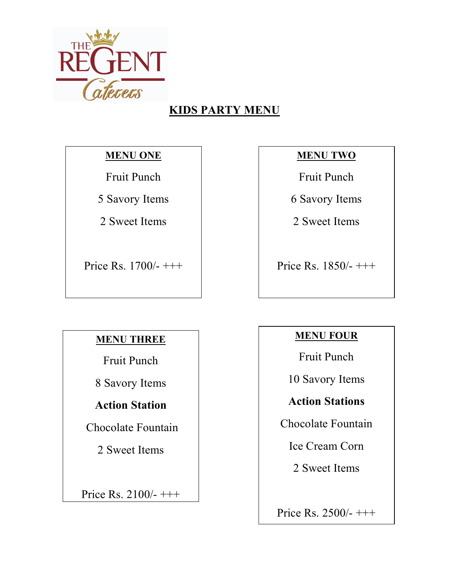

# **KIDS PARTY MENU**

### **MENU ONE**

Fruit Punch

5 Savory Items

2 Sweet Items

Price Rs. 1700/- +++

## **MENU TWO**

Fruit Punch

6 Savory Items

2 Sweet Items

Price Rs.  $1850/- +++$ 

## **MENU THREE**

Fruit Punch

8 Savory Items

## **Action Station**

Chocolate Fountain

2 Sweet Items

Price Rs. 2100/- +++

## **MENU FOUR**

Fruit Punch

10 Savory Items

**Action Stations** 

Chocolate Fountain

Ice Cream Corn

2 Sweet Items

Price Rs. 2500/- +++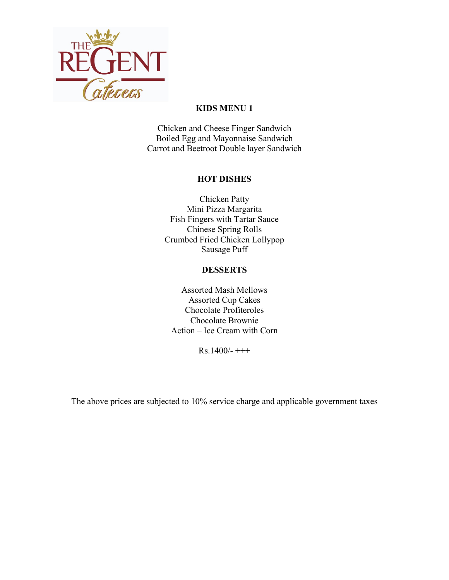

#### **KIDS MENU 1**

Chicken and Cheese Finger Sandwich Boiled Egg and Mayonnaise Sandwich Carrot and Beetroot Double layer Sandwich

#### **HOT DISHES**

Chicken Patty Mini Pizza Margarita Fish Fingers with Tartar Sauce Chinese Spring Rolls Crumbed Fried Chicken Lollypop Sausage Puff

#### **DESSERTS**

Assorted Mash Mellows Assorted Cup Cakes Chocolate Profiteroles Chocolate Brownie Action – Ice Cream with Corn

 $Rs.1400/-$  +++

The above prices are subjected to 10% service charge and applicable government taxes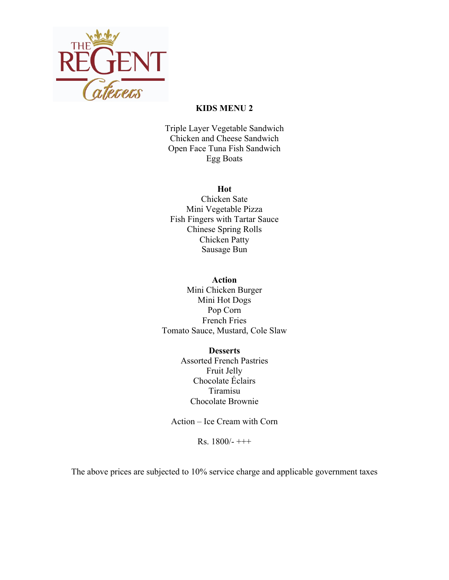

#### **KIDS MENU 2**

Triple Layer Vegetable Sandwich Chicken and Cheese Sandwich Open Face Tuna Fish Sandwich Egg Boats

#### **Hot**

Chicken Sate Mini Vegetable Pizza Fish Fingers with Tartar Sauce Chinese Spring Rolls Chicken Patty Sausage Bun

#### **Action**

Mini Chicken Burger Mini Hot Dogs Pop Corn French Fries Tomato Sauce, Mustard, Cole Slaw

> **Desserts** Assorted French Pastries Fruit Jelly Chocolate Éclairs Tiramisu Chocolate Brownie

Action – Ice Cream with Corn

Rs.  $1800/-$  +++

The above prices are subjected to 10% service charge and applicable government taxes